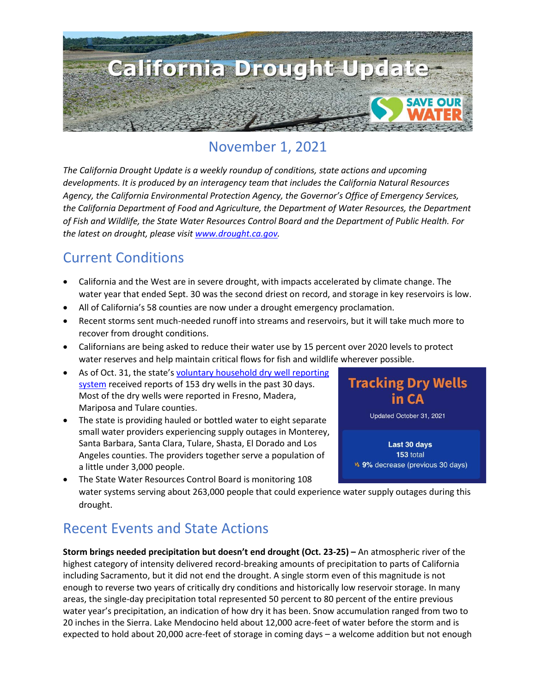

# November 1, 2021

*The California Drought Update is a weekly roundup of conditions, state actions and upcoming developments. It is produced by an interagency team that includes the California Natural Resources Agency, the California Environmental Protection Agency, the Governor's Office of Emergency Services, the California Department of Food and Agriculture, the Department of Water Resources, the Department of Fish and Wildlife, the State Water Resources Control Board and the Department of Public Health. For the latest on drought, please visit [www.drought.ca.gov.](http://www.drought.ca.gov/)* 

#### Current Conditions

- California and the West are in severe drought, with impacts accelerated by climate change. The water year that ended Sept. 30 was the second driest on record, and storage in key reservoirs is low.
- All of California's 58 counties are now under a drought emergency proclamation.
- Recent storms sent much-needed runoff into streams and reservoirs, but it will take much more to recover from drought conditions.
- Californians are being asked to reduce their water use by 15 percent over 2020 levels to protect water reserves and help maintain critical flows for fish and wildlife wherever possible.
- As of Oct. 31, the state's voluntary household dry well reporting [system](https://mydrywell.water.ca.gov/report/) received reports of 153 dry wells in the past 30 days. Most of the dry wells were reported in Fresno, Madera, Mariposa and Tulare counties.
- The state is providing hauled or bottled water to eight separate small water providers experiencing supply outages in Monterey, Santa Barbara, Santa Clara, Tulare, Shasta, El Dorado and Los Angeles counties. The providers together serve a population of a little under 3,000 people.
- **Tracking Dry Wells** in CA Updated October 31, 2021 Last 30 days 153 total
	- v. 9% decrease (previous 30 days)
- The State Water Resources Control Board is monitoring 108 water systems serving about 263,000 people that could experience water supply outages during this drought.

## Recent Events and State Actions

**Storm brings needed precipitation but doesn't end drought (Oct. 23-25) –** An atmospheric river of the highest category of intensity delivered record-breaking amounts of precipitation to parts of California including Sacramento, but it did not end the drought. A single storm even of this magnitude is not enough to reverse two years of critically dry conditions and historically low reservoir storage. In many areas, the single-day precipitation total represented 50 percent to 80 percent of the entire previous water year's precipitation, an indication of how dry it has been. Snow accumulation ranged from two to 20 inches in the Sierra. Lake Mendocino held about 12,000 acre-feet of water before the storm and is expected to hold about 20,000 acre-feet of storage in coming days – a welcome addition but not enough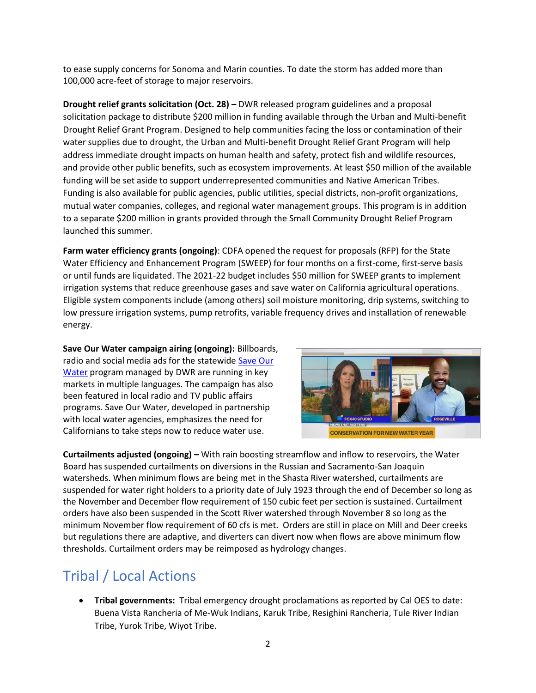to ease supply concerns for Sonoma and Marin counties. To date the storm has added more than 100,000 acre-feet of storage to major reservoirs.

**Drought relief grants solicitation (Oct. 28) –** DWR released program guidelines and a proposal solicitation package to distribute \$200 million in funding available through the Urban and Multi-benefit Drought Relief Grant Program. Designed to help communities facing the loss or contamination of their water supplies due to drought, the Urban and Multi-benefit Drought Relief Grant Program will help address immediate drought impacts on human health and safety, protect fish and wildlife resources, and provide other public benefits, such as ecosystem improvements. At least \$50 million of the available funding will be set aside to support underrepresented communities and Native American Tribes. Funding is also available for public agencies, public utilities, special districts, non-profit organizations, mutual water companies, colleges, and regional water management groups. This program is in addition to a separate \$200 million in grants provided through the Small Community Drought Relief Program launched this summer.

**Farm water efficiency grants (ongoing)**: CDFA opened the request for proposals (RFP) for the State Water Efficiency and Enhancement Program (SWEEP) for four months on a first-come, first-serve basis or until funds are liquidated. The 2021-22 budget includes \$50 million for SWEEP grants to implement irrigation systems that reduce greenhouse gases and save water on California agricultural operations. Eligible system components include (among others) soil moisture monitoring, drip systems, switching to low pressure irrigation systems, pump retrofits, variable frequency drives and installation of renewable energy.

**Save Our Water campaign airing (ongoing):** Billboards, radio and social media ads for the statewide [Save Our](https://saveourwater.com/)  [Water](https://saveourwater.com/) program managed by DWR are running in key markets in multiple languages. The campaign has also been featured in local radio and TV public affairs programs. Save Our Water, developed in partnership with local water agencies, emphasizes the need for Californians to take steps now to reduce water use.



**CONSERVATION FOR NEW WATER YEAR** 

**Curtailments adjusted (ongoing) –** With rain boosting streamflow and inflow to reservoirs, the Water Board has suspended curtailments on diversions in the Russian and Sacramento-San Joaquin watersheds. When minimum flows are being met in the Shasta River watershed, curtailments are suspended for water right holders to a priority date of July 1923 through the end of December so long as the November and December flow requirement of 150 cubic feet per section is sustained. Curtailment orders have also been suspended in the Scott River watershed through November 8 so long as the minimum November flow requirement of 60 cfs is met. Orders are still in place on Mill and Deer creeks but regulations there are adaptive, and diverters can divert now when flows are above minimum flow thresholds. Curtailment orders may be reimposed as hydrology changes.

## Tribal / Local Actions

• **Tribal governments:** Tribal emergency drought proclamations as reported by Cal OES to date: Buena Vista Rancheria of Me-Wuk Indians, Karuk Tribe, Resighini Rancheria, Tule River Indian Tribe, Yurok Tribe, Wiyot Tribe.